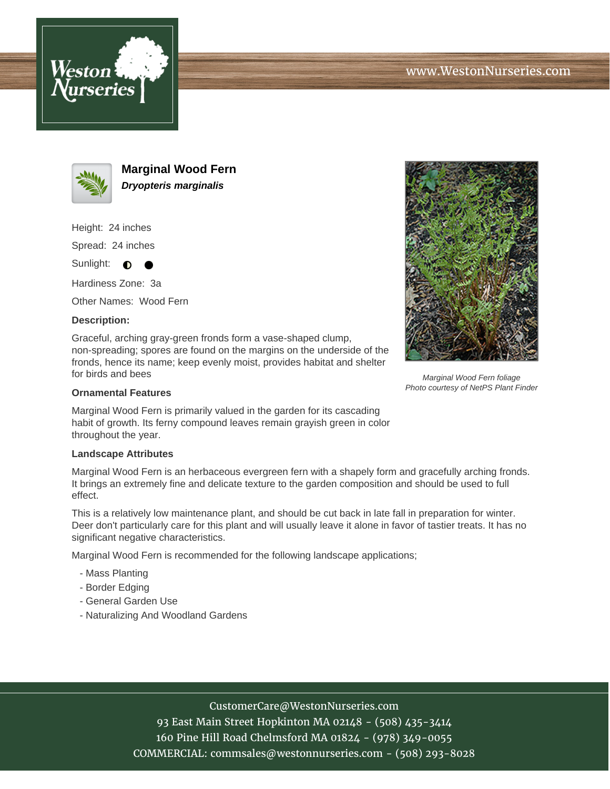





**Marginal Wood Fern Dryopteris marginalis**

Height: 24 inches

Spread: 24 inches

Sunlight:  $\bullet$ 

Hardiness Zone: 3a

Other Names: Wood Fern

## **Description:**

Graceful, arching gray-green fronds form a vase-shaped clump, non-spreading; spores are found on the margins on the underside of the fronds, hence its name; keep evenly moist, provides habitat and shelter for birds and bees

## **Ornamental Features**

Marginal Wood Fern is primarily valued in the garden for its cascading habit of growth. Its ferny compound leaves remain grayish green in color throughout the year.

## **Landscape Attributes**

Marginal Wood Fern is an herbaceous evergreen fern with a shapely form and gracefully arching fronds. It brings an extremely fine and delicate texture to the garden composition and should be used to full effect.

This is a relatively low maintenance plant, and should be cut back in late fall in preparation for winter. Deer don't particularly care for this plant and will usually leave it alone in favor of tastier treats. It has no significant negative characteristics.

Marginal Wood Fern is recommended for the following landscape applications;

- Mass Planting
- Border Edging
- General Garden Use
- Naturalizing And Woodland Gardens



Marginal Wood Fern foliage Photo courtesy of NetPS Plant Finder

CustomerCare@WestonNurseries.com

93 East Main Street Hopkinton MA 02148 - (508) 435-3414 160 Pine Hill Road Chelmsford MA 01824 - (978) 349-0055 COMMERCIAL: commsales@westonnurseries.com - (508) 293-8028